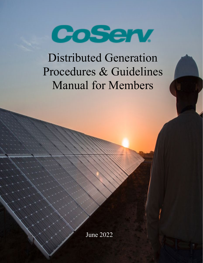

Distributed Generation Procedures & Guidelines Manual for Members

June 2022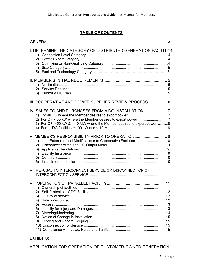# **TABLE OF CONTENTS**

| I. DETERMINE THE CATEGORY OF DISTRIBUTED GENERATION FACILITY 4<br>(2)<br>5)                                                |  |
|----------------------------------------------------------------------------------------------------------------------------|--|
| 1)<br>(2)                                                                                                                  |  |
| III. COOPERATIVE AND POWER SUPPLIER REVIEW PROCESS 6                                                                       |  |
| IV. SALES TO AND PURCHASES FROM A DG INSTALLATION<br>3) For QF > 50 kW & < 10 MW where the Member desires to export power8 |  |
| V. MEMBER'S RESPONSIBILITY PRIOR TO OPERATION  8<br>6)                                                                     |  |
| VI. REFUSAL TO INTERCONNECT SERVICE OR DISCONNECTION OF                                                                    |  |
| 2)<br>3)<br>4)<br>5)<br>6)<br>7)<br>8)<br>9)                                                                               |  |

# EXHIBITS:

APPLICATION FOR OPERATION OF CUSTOMER-OWNED GENERATION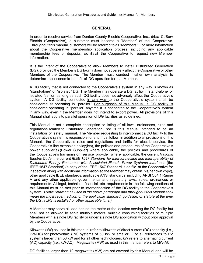# **GENERAL**

<span id="page-2-0"></span>In order to receive service from Denton County Electric Cooperative, Inc., d/b/a CoServ Electric (Cooperative), a customer must become a "Member" of the Cooperative. Throughout this manual, customers will be referred to as "Members." For more information about the Cooperative membership application process, including any applicable membership fees or deposits, contact the Cooperative to request new Member information.

It is the intent of the Cooperative to allow Members to install Distributed Generation (DG), provided the Member's DG facility does not adversely affect the Cooperative or other Members of the Cooperative. The Member must conduct his/her own analysis to determine the economic benefit of DG operation for that Member.

A DG facility that is not connected to the Cooperative's system in any way is known as "stand-alone" or "isolated" DG. The Member may operate a DG facility in stand-alone or isolated fashion as long as such DG facility does not adversely affect the Cooperative's system. A DG facility connected in any way to the Cooperative's system shall be considered as operating in "parallel." For purposes of this Manual, a DG facility is considered operating in "parallel" anytime it is connected to the Cooperative's system in any way, even if the Member does not intend to export power. All provisions of this Manual shall apply to parallel operation of DG facilities as so defined.

This Manual is not a complete description or listing of all laws, ordinances, rules and regulations related to Distributed Generation, nor is this Manual intended to be an installation or safety manual. The Member requesting to interconnect a DG facility to the Cooperative's system is responsible for and must follow, in addition to all provisions of this Manual, the Cooperative's rules and regulations and tariffs for electric service, the Cooperative's line extension policy(ies), the policies and procedures of the Cooperative's power supplier(s) (Power Supplier) where applicable, the policies and procedures of the Cooperative's transmission service provider where applicable, the current *National Electric Code*, the current *IEEE 1547 Standard for Interconnection and Interoperability of Distributed Energy Resources with Associated Electric Power Systems Interfaces* (the IEEE 1547 Standard) (a copy of the IEEE 1547 Standard is on file at the Cooperative for inspection along with additional information so the Member may obtain his/her own copy), other applicable IEEE standards, applicable ANSI standards, including ANSI C84.1 Range A and any other applicable governmental and regulatory laws, rules, ordinances or requirements. All legal, technical, financial, etc. requirements in the following sections of this Manual must be met prior to interconnection of the DG facility to the Cooperative's system. (*Note: "current" as used in the above paragraph and throughout this Manual shall mean the most recent edition of the applicable standard, guideline, or statute at the time the DG facility is installed or other applicable time.)*

A Member may serve all load behind the meter at the location serving the DG facility but shall not be allowed to serve multiple meters, multiple consuming facilities or multiple Members with a single DG facility or under a single DG application without prior approval by the Cooperative.

Kilowatts (kW) as used in this manual refer to kilowatts of direct current (DC) capacity (i.e., kW-DC) for photovoltaic (PV) systems of 50 kW or smaller. For all references to PV systems larger than 50 kW and for all other technologies, kW refers to alternating current (AC) capacity (i.e., kW-AC). Megawatts (MW) as used in this manual refers to MW-AC.

DG facilities larger than 10 megawatts (MW) are not covered by this Manual and will be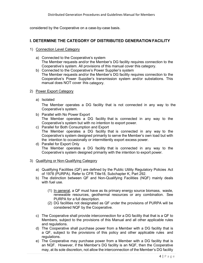considered by the Cooperative on a case-by-case basis.

## **I. DETERMINE THE CATEGORY OF DISTRIBUTED GENERATION FACILITY**

- 1) Connection Level Category
	- a) Connected to the Cooperative's system The Member requests and/or the Member's DG facility requires connection to the Cooperative's system. All provisions of this manual cover this category.
	- b) Connected to the Cooperative's Power Supplier's system The Member requests and/or the Member's DG facility requires connection to the Cooperative's Power Supplier's transmission system and/or substations. This manual does NOT cover this category.
- 2) Power Export Category
	- a) Isolated

The Member operates a DG facility that is not connected in any way to the Cooperative's system.

- b) Parallel with No Power Export The Member operates a DG facility that is connected in any way to the Cooperative's system but with no intention to export power.
- c) Parallel for Both Consumption and Export The Member operates a DG facility that is connected in any way to the Cooperative's system designed primarily to serve the Member's own load but with the intention to occasionally or intermittently export excess power.
- d) Parallel for Export Only The Member operates a DG facility that is connected in any way to the Cooperative's system designed primarily with the intention to export power.
- 3) Qualifying or Non-Qualifying Category
	- a) Qualifying Facilities (QF) are defined by the Public Utility Regulatory Policies Act of 1978 (PURPA). Refer to CFR Title18, Subchapter K, Part 292.
	- b) The distinction between QF and Non-Qualifying Facilities (NQF) mainly deals with fuel use.
		- (1) In general, a QF must have as its primary energy source biomass, waste, renewable resources, geothermal resources or any combination. See PURPA for a full description.
		- (2) DG facilities not designated as QF under the provisions of PURPA will be considered NQF by the Cooperative.
	- c) The Cooperative shall provide interconnection for a DG facility that that is a QF to Members, subject to the provisions of this Manual and all other applicable rules and regulations.
	- d) The Cooperative shall purchase power from a Member with a DG facility that is a QF, subject to the provisions of this policy and other applicable rules and regulations.
	- e) The Cooperative may purchase power from a Member with a DG facility that is an NQF. However, if the Member's DG facility is an NQF, then the Cooperative may, at its sole discretion, not allow the interconnection of the Member's DG facility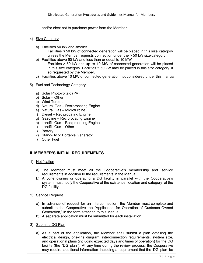and/or elect not to purchase power from the Member.

- 4) Size Category
	- a) Facilities 50 kW and smaller

Facilities  $\leq$  50 kW of connected generation will be placed in this size category unless the Member requests connection under the > 50 kW size category.

b) Facilities above 50 kW and less than or equal to 10 MW

Facilities > 50 kW and up to 10 MW of connected generation will be placed in this size category. Facilities  $\leq 50$  kW may be placed in this size category if so requested by the Member.

c) Facilities above 10 MW of connected generation not considered under this manual

#### 5) Fuel and Technology Category

- a) Solar Photovoltaic (PV)
- b) Solar Other
- c) Wind Turbine
- d) Natural Gas Reciprocating Engine
- e) Natural Gas Microturbine
- f) Diesel Reciprocating Engine
- g) Gasoline Reciprocating Engine
- h) Landfill Gas Reciprocating Engine
- i) Landfill Gas Other
- j) Battery
- k) Stand-By or Portable Generator
- l) Other Fuel

### <span id="page-4-0"></span>**II. MEMBER'S INITIAL REQUIREMENTS**

- 1) Notification
	- a) The Member must meet all the Cooperative's membership and service requirements in addition to the requirements in the Manual.
	- b) Anyone owning or operating a DG facility in parallel with the Cooperative's system must notify the Cooperative of the existence, location and category of the DG facility.
- 2) Service Request
	- a) In advance of request for an interconnection, the Member must complete and submit to the Cooperative the "Application for Operation of Customer-Owned Generation," in the form attached to this Manual.
	- b) A separate application must be submitted for each installation.
- 3) Submit a DG Plan
	- a) As a part of the application, the Member shall submit a plan detailing the electrical design, one-line diagram, interconnection requirements, system size, and operational plans (including expected days and times of operation) for the DG facility (the "DG plan"). At any time during the review process, the Cooperative may require additional information including a requirement that the DG plan be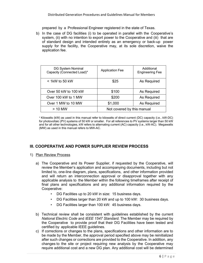prepared by a Professional Engineer registered in the state of Texas.

b) In the case of DG facilities (i) to be operated in parallel with the Cooperative's system, (ii) with no intention to export power to the Cooperative and (iii) that are of standard design and intended entirely as an emergency or back-up power supply for the facility, the Cooperative may, at its sole discretion, waive the application fee.

| DG System Nominal<br>Capacity (Connected Load)* | <b>Application Fee</b>     | Additional<br><b>Engineering Fee</b> |  |
|-------------------------------------------------|----------------------------|--------------------------------------|--|
| $<$ 1kW to 50 kW                                | \$25                       | As Required                          |  |
| Over 50 kW to 100 kW                            | \$100                      | As Required                          |  |
| Over 100 kW to 1 MW                             | \$200                      | As Required                          |  |
| Over 1 MW to 10 MW                              | \$1,000                    | As Required                          |  |
| > 10 MW                                         | Not covered by this manual |                                      |  |

\* Kilowatts (kW) as used in this manual refer to kilowatts of direct current (DC) capacity (i.e., kW-DC) for photovoltaic (PV) systems of 50 kW or smaller. For all references to PV systems larger than 50 kW and for all other technologies, kW refers to alternating current (AC) capacity (i.e., kW-AC). Megawatts (MW) as used in this manual refers to MW-AC.

# <span id="page-5-0"></span>**III. COOPERATIVE AND POWER SUPPLIER REVIEW PROCESS**

### 1) Plan Review Process

- a) The Cooperative and its Power Supplier, if requested by the Cooperative, will review the Member's application and accompanying documents, including but not limited to, one-line diagram, plans, specifications, and other information provided and will return an interconnection approval or disapproval together with any applicable analysis to the Member within the following timeframes after receipt of final plans and specifications and any additional information required by the Cooperative:
	- DG Facilities up to 20 kW in size: 15 business days.
	- DG Facilities larger than 20 kW and up to 100 kW: 30 business days.
	- DG Facilities larger than 100 kW: 45 business days.
- b) Technical review shall be consistent with guidelines established by the current *National Electric Code* and *IEEE 1547 Standard.* The Member may be required by the Cooperative to provide proof that their DG Facilities have been tested and certified by applicable IEEE guidelines.
- c) If corrections or changes to the plans, specifications and other information are to be made by the Member, the approval period specified above may be reinitialized after such changes or corrections are provided to the Cooperative. In addition, any changes to the site or project requiring new analysis by the Cooperative may require additional cost and a new DG plan. Any additional cost will be determined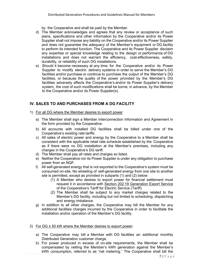by the Cooperative and shall be paid by the Member.

- d) The Member acknowledges and agrees that any review or acceptance of such plans, specifications and other information by the Cooperative and/or its Power Supplier shall not impose any liability on the Cooperative and/or its Power Supplier and does not guarantee the adequacy of the Member's equipment or DG facility to perform its intended function. The Cooperative and its Power Supplier disclaim any expertise or special knowledge relating to the design or performance of DG installations and does not warrant the efficiency, cost-effectiveness, safety, durability, or reliability of such DG installations.
- e) Should it become necessary at any time for the Cooperative and/or its Power Supplier to modify electric delivery systems in order to serve the Member's DG facilities and/or purchase or continue to purchase the output of the Member's DG facilities, or because the quality of the power provided by the Member's DG facilities adversely affects the Cooperative's and/or its Power Supplier's delivery system, the cost of such modifications shall be borne, in advance, by the Member to the Cooperative and/or its Power Supplier(s).

# **IV. SALES TO AND PURCHASES FROM A DG FACILITY**

- 1) For all DG where the Member desires to export power
	- a) The Member shall sign a Member Interconnection Information and Agreement in the form provided by the Cooperative.
	- b) All accounts with installed DG facilities shall be billed under one of the Cooperative's existing rate tariffs.
	- c) All sales of electric power and energy by the Cooperative to a Member shall be consistent with the applicable retail rate schedule established by the Cooperative as if there were no DG installation at the Member's premises, including any charges in the Cooperative's DG tariff.
	- d) The Member shall pay all rates and charges so listed.
	- e) Neither the Cooperative nor its Power Supplier is under any obligation to purchase power from an NQF.
	- f) All self-generated energy that is not exported to the Cooperative's system must be consumed on-site. No wheeling of self-generated energy from one site to another site is permitted, except as provided in subparts (1) and (2) below:
		- (1) A Member who desires to export power for financial settlement must request it in accordance with Section 202.19 Generation Export Service of the Cooperative's Tariff for Electric Service (Tariff).
		- (2) The Member shall be subject to any market charges related to the Member's DG facility, including but not limited to scheduling, dispatching and energy imbalance.
	- g) In addition to all other charges, the Cooperative may bill the Member for any additional facilities charges incurred by the Cooperative in order to facilitate the installation and/or operation of the Member's DG facility.
- 2) For DG  $\leq$  50 kW where the Member desires to export power:
	- a) The Cooperative may bill a Member with DG facilities an additional monthly Distributed Generation customer charge.
	- b) For power produced in excess of on-site requirements, the Member shall be compensated by netting the Member's kWh generation against the Member's kWh consumption, referred to as "net metering." The Cooperative shall bill the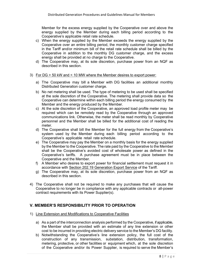Member for the excess energy supplied by the Cooperative over and above the energy supplied by the Member during each billing period according to the Cooperative's applicable retail rate schedule.

- c) When the energy supplied by the Member exceeds the energy supplied by the Cooperative over an entire billing period, the monthly customer charge specified in the Tariff and/or minimum bill of the retail rate schedule shall be billed by the Cooperative in addition to the monthly DG customer charge, and the excess energy shall be provided at no charge to the Cooperative.
- d) The Cooperative may, at its sole discretion, purchase power from an NQF as described in this section.
- 3) For DG > 50 kW and < 10 MW where the Member desires to export power:
	- a) The Cooperative may bill a Member with DG facilities an additional monthly Distributed Generation customer charge.
	- b) No net metering shall be used. The type of metering to be used shall be specified at the sole discretion of the Cooperative. The metering shall provide data so the Cooperative can determine within each billing period the energy consumed by the Member and the energy produced by the Member.
	- c) At the sole discretion of the Cooperative, an approved load profile meter may be required which can be remotely read by the Cooperative through an approved communications link. Otherwise, the meter shall be read monthly by Cooperative personnel and the Member shall be billed for the additional cost of reading the meter.
	- d) The Cooperative shall bill the Member for the full energy from the Cooperative's system used by the Member during each billing period according to the Cooperative's applicable retail rate schedule.
	- e) The Cooperative may pay the Member on a monthly basis for the energy supplied by the Member to the Cooperative. The rate paid by the Cooperative to the Member shall be the Cooperative's avoided cost of wholesale power as defined in the Cooperative's tariffs. A purchase agreement must be in place between the Cooperative and the Member.
	- f) A Member who desires to export power for financial settlement must request it in accordance with Section 202.19 Generation Export Service of the Tariff.
	- g) The Cooperative may, at its sole discretion, purchase power from an NQF as described in this section.
- 4) The Cooperative shall not be required to make any purchases that will cause the Cooperative to no longer be in compliance with any applicable contracts or all-power contract requirements with its Power Supplier(s).

## <span id="page-7-0"></span>**V. MEMBER'S RESPONSIBILITY PRIOR TO OPERATION**

- 1) Line Extension and Modifications to Cooperative Facilities
	- a) As a part of the interconnection analysis performed by the Cooperative, if applicable, the Member shall be provided with an estimate of any line extension or other cost to be incurred in providing electric delivery service to the Member's DG facility.
	- b) Notwithstanding the Cooperative's line extension policy, the full cost of the construction of any transmission, substation, distribution, transformation, metering, protective, or other facilities or equipment which, at the sole discretion of the Cooperative and/or its Power Supplier, is required to serve the Member's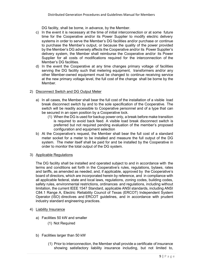DG facility, shall be borne, in advance, by the Member.

- c) In the event it is necessary at the time of initial interconnection or at some future time for the Cooperative and/or its Power Supplier to modify electric delivery systems in order to serve the Member's DG facilities and/or purchase or continue to purchase the Member's output, or because the quality of the power provided by the Member's DG adversely affects the Cooperative and/or its Power Supplier's delivery system, the Member shall reimburse the Cooperative and/or its Power Supplier for all costs of modifications required for the interconnection of the Member's DG facilities.
- d) In the event the Cooperative at any time changes primary voltage of facilities serving the DG facility such that metering equipment, transformers and/or any other Member-owned equipment must be changed to continue receiving service at the new primary voltage level, the full cost of the change shall be borne by the Member.

### 2) Disconnect Switch and DG Output Meter

- a) In all cases, the Member shall bear the full cost of the installation of a visible load break disconnect switch by and to the sole specification of the Cooperative. The switch will be readily accessible to Cooperative personnel and of a type that can be secured in an open position by a Cooperative lock.
	- (1) When the DG is used for backup power only, a break before make transition is required to avoid back feed. A visible load break disconnect switch is preferred but not required pending evaluation of the member's proposed configuration and equipment selection
- b) At the Cooperative's request, the Member shall bear the full cost of a standard meter socket for a meter to be installed and measure the full output of the DG system. The meter itself shall be paid for and be installed by the Cooperative in order to monitor the total output of the DG system.
- 3) Applicable Regulations

The DG facility shall be installed and operated subject to and in accordance with the terms and conditions set forth in the Cooperative's rules, regulations, bylaws, rates and tariffs, as amended as needed, and, if applicable, approved by the Cooperative's board of directors, which are incorporated herein by reference, and in compliance with all applicable federal, state and local laws, regulations, zoning codes, building codes, safety rules, environmental restrictions, ordinances and regulations, including without limitation, the current IEEE 1547 Standard, applicable ANSI standards, including ANSI C84.1 Range A, Electric Reliability Council of Texas (ERCOT) Independent System Operator (ISO) directives and ERCOT guidelines, and in accordance with prudent industry standard engineering practices.

- 4) Liability Insurance
	- a) Facilities 50 kW and smaller (1) Not Required
	- b) Facilities larger than 50 kW
		- (1) Prior to interconnection, the Member shall provide a certificate of insurance showing satisfactory liability insurance including, but not limited to,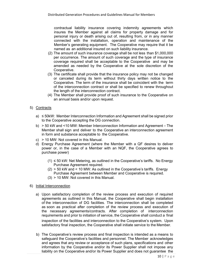contractual liability insurance covering indemnity agreements which insures the Member against all claims for property damage and for personal injury or death arising out of, resulting from, or in any manner connected with the installation, operation and maintenance of the Member's generating equipment. The Cooperative may require that it be named as an additional insured on such liability insurance.

- (2) The amount of such insurance coverage shall be not less than \$1,000,000 per occurrence. The amount of such coverage and the type of insurance coverage required shall be acceptable to the Cooperative and may be amended as needed by the Cooperative at the sole discretion of the Cooperative.
- (3) The certificate shall provide that the insurance policy may not be changed or canceled during its term without thirty days written notice to the Cooperative. The term of the insurance shall be coincident with the term of the interconnection contract or shall be specified to renew throughout the length of the interconnection contract.
- (4) The Member shall provide proof of such insurance to the Cooperative on an annual basis and/or upon request.

## 5) Contracts

- a) ≤ 50kW: Member Interconnection Information and Agreement shall be signed prior to the Cooperative accepting the DG connection.
- b) > 50 kW and <10 MW: Member Interconnection Information and Agreement The Member shall sign and deliver to the Cooperative an interconnection agreement in form and substance acceptable to the Cooperative.
- c) > 10 MW: Not covered in this Manual.
- d) Energy Purchase Agreement (where the Member with a QF desires to deliver power or, in the case of a Member with an NQF, the Cooperative agrees to purchase power)
	- $(1) \le 50$  kW: Net Metering, as outlined in the Cooperative's tariffs. No Energy Purchase Agreement required.
	- $(2)$  > 50 kW and < 10 MW: As outlined in the Cooperative's tariffs. Energy Purchase Agreement between Member and Cooperative is required.
	- (3) > 10 MW: Not covered in this Manual.

### 6) Initial Interconnection

- a) Upon satisfactory completion of the review process and execution of required agreements as outlined in this Manual, the Cooperative shall begin installation of the interconnection of DG facilities. The interconnection shall be completed as soon as practical after completion of the review process and execution of the necessary agreements/contracts. After completion of interconnection requirements and prior to initiation of service, the Cooperative shall conduct a final inspection of the facilities and interconnection to the Cooperative's system. Upon satisfactory final inspection, the Cooperative shall initiate service to the Member.
- b) The Cooperative's review process and final inspection is intended as a means to safeguard the Cooperative's facilities and personnel. The Member acknowledges and agrees that any review or acceptance of such plans, specifications and other information by the Cooperative and/or its Power Supplier shall not impose any liability on the Cooperative and/or its Power Supplier and does not guarantee the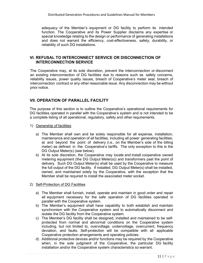adequacy of the Member's equipment or DG facility to perform its intended function. The Cooperative and its Power Supplier disclaims any expertise or special knowledge relating to the design or performance of generating installations and does not warrant the efficiency, cost-effectiveness, safety, durability, or reliability of such DG installations.

### <span id="page-10-0"></span>**VI. REFUSAL TO INTERCONNECT SERVICE OR DISCONNECTION OF INTERCONNECTION SERVICE**

The Cooperative may, at its sole discretion, prevent the interconnection or disconnect an existing interconnection of DG facilities due to reasons such as safety concerns, reliability issues, power quality issues, breach of Cooperative's meter seal, breach of interconnection contract or any other reasonable issue. Any disconnection may be without prior notice.

## <span id="page-10-1"></span>**VII. OPERATION OF PARALLEL FACILITY**

The purpose of this section is to outline the Cooperative's operational requirements for DG facilities operated in parallel with the Cooperative's system and is not intended to be a complete listing of all operational, regulatory, safety and other requirements.

- 1) Ownership of facilities
	- a) The Member shall own and be solely responsible for all expense, installation, maintenance and operation of all facilities, including all power generating facilities, at and beyond the point of delivery (i.e., on the Member's side of the billing meter) as defined in the Cooperative's tariffs. The only exception to this is the DG Output Meter(s) (see below).
	- b) At its sole discretion, the Cooperative may locate and install cooperative owned metering equipment (the DG Output Meter(s)) and transformers past the point of delivery. Such DG Output Meter(s) shall be used by the Cooperative to measure the full output of the DG facility. If installed, DG Output Meter(s) shall be installed, owned, and maintained solely by the Cooperative, with the exception that the Member shall be required to install the associated meter socket.

### 2) Self-Protection of DG Facilities

- a) The Member shall furnish, install, operate and maintain in good order and repair all equipment necessary for the safe operation of DG facilities operated in parallel with the Cooperative system.
- b) The Member's equipment shall have capability to both establish and maintain synchronism with the Cooperative system and to automatically disconnect and isolate the DG facility from the Cooperative system.
- c) The Member's DG facility shall be designed, installed and maintained to be selfprotected from normal and abnormal conditions on the Cooperative system including, but not limited to, overvoltage, undervoltage, overcurrent, frequency deviation, and faults. Self-protection will be compatible with all applicable Cooperative protection arrangements and operating policies.
- d) Additional protective devices and/or functions may be required by the Cooperative when, in the sole judgment of the Cooperative, the particular DG facility installation and/or the Cooperative system characteristics so warrant.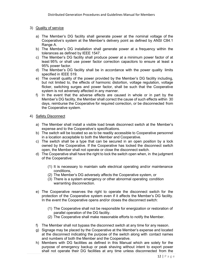### 3) Quality of service

- a) The Member's DG facility shall generate power at the nominal voltage of the Cooperative's system at the Member's delivery point as defined by ANSI C84.1 Range A.
- b) The Member's DG installation shall generate power at a frequency within the tolerances as defined by IEEE 1547.
- c) The Member's DG facility shall produce power at a minimum power factor of at least 95% or shall use power factor correction capacitors to ensure at least a 95% power factor.
- d) The Member's DG facility shall be in accordance with the power quality limits specified in IEEE 519.
- e) The overall quality of the power provided by the Member's DG facility including, but not limited to, the effects of harmonic distortion, voltage regulation, voltage flicker, switching surges and power factor, shall be such that the Cooperative system is not adversely affected in any manner.
- f) In the event that the adverse effects are caused in whole or in part by the Member's DG facility, the Member shall correct the cause of such effects within 30 days, reimburse the Cooperative for required correction, or be disconnected from the Cooperative system.

### 4) Safety Disconnect

- a) The Member shall install a visible load break disconnect switch at the Member's expense and to the Cooperative's specifications.
- b) The switch will be located so as to be readily accessible to Cooperative personnel in a location acceptable to both the Member and Cooperative.
- c) The switch shall be a type that can be secured in an open position by a lock owned by the Cooperative. If the Cooperative has locked the disconnect switch open, the Member shall not operate or close the disconnect switch.
- d) The Cooperative shall have the right to lock the switch open when, in the judgment of the Cooperative:
	- (1) It is necessary to maintain safe electrical operating and/or maintenance conditions,
	- (2) The Member's DG adversely affects the Cooperative system, or
	- (3) There is a system emergency or other abnormal operating condition warranting disconnection.
- e) The Cooperative reserves the right to operate the disconnect switch for the protection of the Cooperative system even if it affects the Member's DG facility. In the event the Cooperative opens and/or closes the disconnect switch:
	- (1) The Cooperative shall not be responsible for energization or restoration of parallel operation of the DG facility.
	- (2) The Cooperative shall make reasonable efforts to notify the Member.
- f) The Member shall not bypass the disconnect switch at any time for any reason.
- g) Signage may be placed by the Cooperative at the Member's expense and located at the disconnect indicating the purpose of the switch along with contact names and numbers of both the Member and the Cooperative.
- h) Members with DG facilities as defined in this Manual which are solely for the purpose of emergency backup or peak shaving without intent to export power shall not operate their DG facilities at any time unless disconnected from the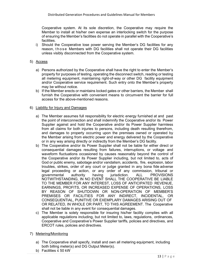Cooperative system. At its sole discretion, the Cooperative may require the Member to install at his/her own expense an interlocking switch for the purpose of ensuring the Member's facilities do not operate in parallel with the Cooperative's facilities.

i) Should the Cooperative lose power serving the Member's DG facilities for any reason, those Members with DG facilities shall not operate their DG facilities unless visibly disconnected from the Cooperative system.

#### 5) Access

- a) Persons authorized by the Cooperative shall have the right to enter the Member's property for purposes of testing, operating the disconnect switch, reading or testing all metering equipment, maintaining right-of-way or other DG facility equipment and/or Cooperative service requirement. Such entry onto the Member's property may be without notice.
- b) If the Member erects or maintains locked gates or other barriers, the Member shall furnish the Cooperative with convenient means to circumvent the barrier for full access for the above-mentioned reasons.

#### 6) Liability for Injury and Damages

- a) The Member assumes full responsibility for electric energy furnished at and past the point of interconnection and shall indemnify the Cooperative and/or its Power Supplier against and hold the Cooperative and/or its Power Supplier harmless from all claims for both injuries to persons, including death resulting therefrom, and damages to property occurring upon the premises owned or operated by the Member arising from electric power and energy delivered by the Cooperative or in any way arising directly or indirectly from the Member's DG facility.
- b) The Cooperative and/or its Power Supplier shall not be liable for either direct or consequential damages resulting from failures, interruptions, or voltage and waveform fluctuations occasioned by causes reasonably beyond the control of the Cooperative and/or its Power Supplier including, but not limited to, acts of God or public enemy, sabotage and/or vandalism, accidents, fire, explosion, labor troubles, strikes, order of any court or judge granted in any bona fide adverse legal proceeding or action, or any order of any commission, tribunal or governmental authority having jurisdiction. ALL PROVISIONS governmental authority having jurisdiction. ALL PROVISIONS NOTWITHSTANDING, IN NO EVENT SHALL THE COOPERATIVE BE LIABLE TO THE MEMBER FOR ANY INTEREST, LOSS OF ANTICIPATED REVENUE, EARNINGS, PROFITS, OR INCREASED EXPENSE OF OPERATIONS, LOSS BY REASON OF SHUTDOWN OR NON-OPERATION OF MEMBER'S PREMISES OR FACILITIES FOR ANY INDIRECT, INCIDENTAL, OR CONSEQUENTIAL, PUNITIVE OR EXEMPLARY DAMAGES ARISING OUT OF OR RELATED, IN WHOLE OR PART, TO THIS AGREEMENT. The Cooperative shall not be liable in any event for consequential damages.
- c) The Member is solely responsible for insuring his/her facility complies with all applicable regulations including, but not limited to, laws, regulations, ordinances, Cooperative and Cooperative's Power Supplier tariffs, policies and directives, and ERCOT rules, policies and directives.
- 7) Metering/Monitoring
	- a) The Cooperative shall specify, install and own all metering equipment, including both billing meter(s) and DG Output Meter(s).
	- b) Facilities ≤ 50 kW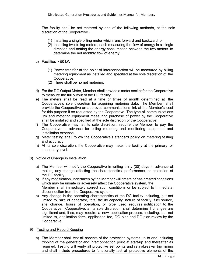The facility shall be net metered by one of the following methods, at the sole discretion of the Cooperative.

- (1) Installing a single billing meter which runs forward and backward, or
- (2) Installing two billing meters, each measuring the flow of energy in a single direction and netting the energy consumption between the two meters to determine the net monthly flow of energy.
- c) Facilities > 50 kW
	- (1) Power transfer at the point of interconnection will be measured by billing metering equipment as installed and specified at the sole discretion of the Cooperative.
	- (2) There shall be no net metering.
- d) For the DG Output Meter, Member shall provide a meter socket for the Cooperative to measure the full output of the DG facility.
- e) The meters shall be read at a time or times of month determined at the Cooperative's sole discretion for acquiring metering data. The Member shall provide the Cooperative an approved communications link at the Member's cost for this purpose if so requested by the Cooperative. The type of communications link and metering equipment measuring purchase of power by the Cooperative shall be installed and specified at the sole discretion of the Cooperative.
- f) The Cooperative may, at its sole discretion, require the Member to pay the Cooperative in advance for billing metering and monitoring equipment and installation expense.
- g) Meter testing shall follow the Cooperative's standard policy on metering testing and accuracy.
- h) At its sole discretion, the Cooperative may meter the facility at the primary or secondary level.

#### 8) Notice of Change in Installation

- a) The Member will notify the Cooperative in writing thirty (30) days in advance of making any change affecting the characteristics, performance, or protection of the DG facility.
- b) If any modification undertaken by the Member will create or has created conditions which may be unsafe or adversely affect the Cooperative system, the Member shall immediately correct such conditions or be subject to immediate disconnection from the Cooperative system.
- c) Any change in the operating characteristics of the DG facility including, but not limited to, size of generator, total facility capacity, nature of facility, fuel source, site change, hours of operation, or type used, requires notification to the Cooperative. Cooperative, at its sole discretion, shall determine if changes are significant and, if so, may require a new application process, including, but not limited to, application form, application fee, DG plan and DG plan review by the Cooperative.

#### 9) Testing and Record Keeping

a) The Member shall test all aspects of the protection systems up to and including tripping of the generator and interconnection point at start-up and thereafter as required. Testing will verify all protective set points and relay/breaker trip timing and shall include procedures to functionally test all protective elements of the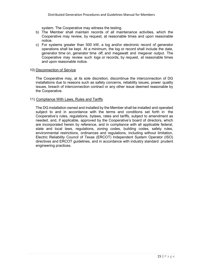system. The Cooperative may witness the testing.

- b) The Member shall maintain records of all maintenance activities, which the Cooperative may review, by request, at reasonable times and upon reasonable notice.
- c) For systems greater than 500 kW, a log and/or electronic record of generator operations shall be kept. At a minimum, the log or record shall include the date, generator time on, generator time off, and megawatt and megavar output. The Cooperative may review such logs or records, by request, at reasonable times and upon reasonable notice.

#### 10) Disconnection of Service

The Cooperative may, at its sole discretion, discontinue the interconnection of DG installations due to reasons such as safety concerns, reliability issues, power quality issues, breach of interconnection contract or any other issue deemed reasonable by the Cooperative.

#### 11) Compliance With Laws, Rules and Tariffs

The DG installation owned and installed by the Member shall be installed and operated subject to and in accordance with the terms and conditions set forth in the Cooperative's rules, regulations, bylaws, rates and tariffs, subject to amendment as needed, and, if applicable, approved by the Cooperative's board of directors, which are incorporated herein by reference, and in compliance with all applicable federal, state and local laws, regulations, zoning codes, building codes, safety rules, environmental restrictions, ordinances and regulations, including without limitation, Electric Reliability Council of Texas (ERCOT) Independent System Operator (ISO) directives and ERCOT guidelines, and in accordance with industry standard prudent engineering practices.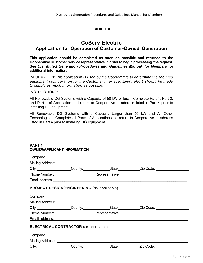## **EXHIBIT A**

# **CoServ Electric Application for Operation of Customer-Owned Generation**

**This application should be completed as soon as possible and returned to the Cooperative Customer Service representative in order to begin processing the request. See** *Distributed Generation Procedures and Guidelines Manual for Members* **for additional information.**

INFORMATION: *This application is used by the Cooperative to determine the required equipment configuration for the Customer interface. Every effort should be made to supply as much information as possible.*

#### INSTRUCTIONS:

All Renewable DG Systems with a Capacity of 50 kW or less: Complete Part 1, Part 2, and Part 4 of Application and return to Cooperative at address listed in Part 4 prior to installing DG equipment.

All Renewable DG Systems with a Capacity Larger than 50 kW and All Other Technologies: Complete all Parts of Application and return to Cooperative at address listed in Part 4 prior to installing DG equipment.

#### **PART 1 OWNER/APPLICANT INFORMATION**

|                                                                                                                                                                                                                                | City: City: County: County: State: Zip Code:                                                                                                                                                                                   |  |
|--------------------------------------------------------------------------------------------------------------------------------------------------------------------------------------------------------------------------------|--------------------------------------------------------------------------------------------------------------------------------------------------------------------------------------------------------------------------------|--|
|                                                                                                                                                                                                                                | Phone Number: National According Propresentative: Nepresentative: National According Propresentative:                                                                                                                          |  |
|                                                                                                                                                                                                                                |                                                                                                                                                                                                                                |  |
| <b>PROJECT DESIGN/ENGINEERING (as applicable)</b>                                                                                                                                                                              |                                                                                                                                                                                                                                |  |
|                                                                                                                                                                                                                                |                                                                                                                                                                                                                                |  |
| Mailing Address: University of the Mailing Address: University of the Mail Control of the Mail Control of the Mail Control of the Mail Control of the Mail Control of the Mail Control of the Mail Control of the Mail Control |                                                                                                                                                                                                                                |  |
|                                                                                                                                                                                                                                | City: City: County: County: County: County: Citate: Zip Code:                                                                                                                                                                  |  |
|                                                                                                                                                                                                                                | Phone Number: Representative: News Assembly Decision of the Contract of the Contract of the Contract of the Contract of the Contract of the Contract of the Contract of the Contract of the Contract of the Contract of the Co |  |
|                                                                                                                                                                                                                                | Email address: Note and the set of the set of the set of the set of the set of the set of the set of the set o                                                                                                                 |  |
| <b>ELECTRICAL CONTRACTOR (as applicable)</b>                                                                                                                                                                                   |                                                                                                                                                                                                                                |  |
| Company: <u>company:</u>                                                                                                                                                                                                       |                                                                                                                                                                                                                                |  |
|                                                                                                                                                                                                                                |                                                                                                                                                                                                                                |  |
|                                                                                                                                                                                                                                | County: County: State: Zip Code: County: State: Zip Code:                                                                                                                                                                      |  |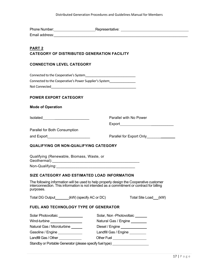|                                                                                                                                                                                                                                      |  | Phone Number: National American Representative: National American American Representative: |  |  |
|--------------------------------------------------------------------------------------------------------------------------------------------------------------------------------------------------------------------------------------|--|--------------------------------------------------------------------------------------------|--|--|
|                                                                                                                                                                                                                                      |  |                                                                                            |  |  |
|                                                                                                                                                                                                                                      |  |                                                                                            |  |  |
| <b>PART 2</b><br><b>CATEGORY OF DISTRIBUTED GENERATION FACILITY</b>                                                                                                                                                                  |  |                                                                                            |  |  |
| <b>CONNECTION LEVEL CATEGORY</b>                                                                                                                                                                                                     |  |                                                                                            |  |  |
|                                                                                                                                                                                                                                      |  |                                                                                            |  |  |
| Connected to the Cooperative's Power Supplier's System__________________________                                                                                                                                                     |  |                                                                                            |  |  |
|                                                                                                                                                                                                                                      |  |                                                                                            |  |  |
| <b>POWER EXPORT CATEGORY</b>                                                                                                                                                                                                         |  |                                                                                            |  |  |
| <b>Mode of Operation</b>                                                                                                                                                                                                             |  |                                                                                            |  |  |
|                                                                                                                                                                                                                                      |  | Parallel with No Power                                                                     |  |  |
|                                                                                                                                                                                                                                      |  |                                                                                            |  |  |
| Parallel for Both Consumption                                                                                                                                                                                                        |  |                                                                                            |  |  |
| and Export________________________                                                                                                                                                                                                   |  | Parallel for Export Only Parallel for Export Only                                          |  |  |
|                                                                                                                                                                                                                                      |  |                                                                                            |  |  |
| <b>QUALIFYING OR NON-QUALIFYING CATEGORY</b>                                                                                                                                                                                         |  |                                                                                            |  |  |
|                                                                                                                                                                                                                                      |  |                                                                                            |  |  |
| Qualifying (Renewable, Biomass, Waste, or                                                                                                                                                                                            |  |                                                                                            |  |  |
|                                                                                                                                                                                                                                      |  |                                                                                            |  |  |
|                                                                                                                                                                                                                                      |  |                                                                                            |  |  |
| SIZE CATEGORY AND ESTIMATED LOAD INFORMATION                                                                                                                                                                                         |  |                                                                                            |  |  |
| The following information will be used to help properly design the Cooperative customer<br>interconnection. This information is not intended as a commitment or contract for billing<br>purposes.                                    |  |                                                                                            |  |  |
| Total DG Output_______(kW) (specify AC or DC)                                                                                                                                                                                        |  | Total Site Load (kW)                                                                       |  |  |
| <b>FUEL AND TECHNOLOGY TYPE OF GENERATOR</b>                                                                                                                                                                                         |  |                                                                                            |  |  |
| Solar Photovoltaic Solar Photovoltaic Solar Photovoltaic Solar Photovoltaic Solar Photovoltaic Solar Photovoltaic Solar Photovoltaic Solar Photovoltaic Solar Photovoltaic  Solar Photovoltaic   The Solar Photovoltaic              |  | Solar, Non-Photovoltaic                                                                    |  |  |
| Wind-turbine ___________________                                                                                                                                                                                                     |  | Natural Gas / Engine                                                                       |  |  |
| Natural Gas / Microturbine ______                                                                                                                                                                                                    |  | Diesel / Engine ______________                                                             |  |  |
| Gasoline / Engine _____________                                                                                                                                                                                                      |  | Landfill Gas / Engine ________                                                             |  |  |
| Landfill Gas / Other <b>Constanting Constanting Constanting Constanting Constanting Constanting Constanting Constanting Constanting Constanting Constanting Constanting Constanting Constanting Constanting Constanting Constant</b> |  | Other Fuel _____________________                                                           |  |  |
| Standby or Portable Generator (please specify fuel type) _______________________                                                                                                                                                     |  |                                                                                            |  |  |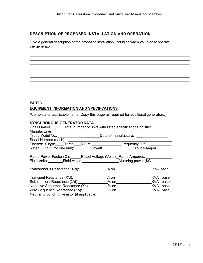## **DESCRIPTION OF PROPOSED INSTALLATION AND OPERATION**

Give a general description of the proposed installation, including when you plan to operate the generator.

# **PART 3 EQUIPMENT INFORMATION AND SPECIFCATIONS**

(Complete all applicable items. Copy this page as required for additional generators.)

### **SYNCHRONOUS GENERATOR DATA**

| Unit Number: Total number of units with listed specifications on site: |                                                                                  |          |  |  |
|------------------------------------------------------------------------|----------------------------------------------------------------------------------|----------|--|--|
| Manufacturer: _______________________                                  |                                                                                  |          |  |  |
|                                                                        | Type / Model No.: ___________________________Date of manufacture: ______________ |          |  |  |
| Serial Number (each): _____________                                    |                                                                                  |          |  |  |
|                                                                        |                                                                                  |          |  |  |
|                                                                        |                                                                                  |          |  |  |
|                                                                        |                                                                                  |          |  |  |
| Rated Power Factor (%): Rated Voltage (Volts) Rated Amperes: _____     |                                                                                  |          |  |  |
| Field Volts: Field Amps: Motoring power (kW):                          |                                                                                  |          |  |  |
|                                                                        |                                                                                  |          |  |  |
|                                                                        |                                                                                  |          |  |  |
|                                                                        |                                                                                  | KVA base |  |  |
|                                                                        |                                                                                  |          |  |  |
|                                                                        |                                                                                  |          |  |  |
|                                                                        |                                                                                  |          |  |  |
| Neutral Grounding Resistor (if applicable):                            |                                                                                  |          |  |  |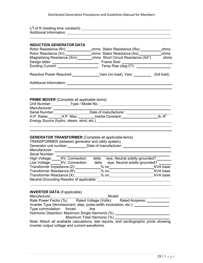#### Distributed Generation Procedures and Guidelines Manual for Members

| <b>INDUCTION GENERATOR DATA</b>                                                                                                                                                                                                                                                                   |                                                                                                                                                                                                                                                                                                                                |  |
|---------------------------------------------------------------------------------------------------------------------------------------------------------------------------------------------------------------------------------------------------------------------------------------------------|--------------------------------------------------------------------------------------------------------------------------------------------------------------------------------------------------------------------------------------------------------------------------------------------------------------------------------|--|
|                                                                                                                                                                                                                                                                                                   |                                                                                                                                                                                                                                                                                                                                |  |
|                                                                                                                                                                                                                                                                                                   |                                                                                                                                                                                                                                                                                                                                |  |
|                                                                                                                                                                                                                                                                                                   | Magnetizing Reactance (Xm): chms Short Circuit Reactance (Xd"): chms                                                                                                                                                                                                                                                           |  |
|                                                                                                                                                                                                                                                                                                   |                                                                                                                                                                                                                                                                                                                                |  |
|                                                                                                                                                                                                                                                                                                   |                                                                                                                                                                                                                                                                                                                                |  |
|                                                                                                                                                                                                                                                                                                   | Reactive Power Required: Vars (no load), Vars __________ (full load)                                                                                                                                                                                                                                                           |  |
|                                                                                                                                                                                                                                                                                                   |                                                                                                                                                                                                                                                                                                                                |  |
|                                                                                                                                                                                                                                                                                                   |                                                                                                                                                                                                                                                                                                                                |  |
|                                                                                                                                                                                                                                                                                                   |                                                                                                                                                                                                                                                                                                                                |  |
| <b>PRIME MOVER</b> (Complete all applicable items)                                                                                                                                                                                                                                                |                                                                                                                                                                                                                                                                                                                                |  |
|                                                                                                                                                                                                                                                                                                   |                                                                                                                                                                                                                                                                                                                                |  |
| Manufacturer: ____________________                                                                                                                                                                                                                                                                |                                                                                                                                                                                                                                                                                                                                |  |
|                                                                                                                                                                                                                                                                                                   | Serial Number: _______________________Date of manufacturer: ______________________<br>H.P. Rates:_______H.P. Max.:________Inertia Constant:_________________________Ib.-ft <sup>2</sup>                                                                                                                                        |  |
|                                                                                                                                                                                                                                                                                                   |                                                                                                                                                                                                                                                                                                                                |  |
|                                                                                                                                                                                                                                                                                                   |                                                                                                                                                                                                                                                                                                                                |  |
| <b>GENERATOR TRANSFORMER (Complete all applicable items)</b><br>TRANSFORMER (between generator and utility system)<br>Serial Number: _______<br>High Voltage: _____KV, Connection:<br>Transformer Resistance (R): ______                                                                          | Generator unit number: ___________Date of manufacturer: ________________________<br>delta wye, Neutral solidly grounded? _______<br>Low Voltage: KV, Connection: delta wye, Neutral solidly grounded? _____<br>Neutral Grounding Resistor (if applicable: \\sqrtdgs\\sqrtdgs\sqrtdgs\sqrtdgs\sqrtdgs\sqrtdgs\sqrtdgs\sqrtdgs\s |  |
| <b>INVERTER DATA</b> (if applicable)<br>Manufacturer:_______________________________Model: _____________________________<br>Rate Power Factor (%):  Rated Voltage (Volts):  Rated Amperes: _________________<br>Inverter Type (ferroresonant, step, pulse-width modulation, etc.): ______________ |                                                                                                                                                                                                                                                                                                                                |  |